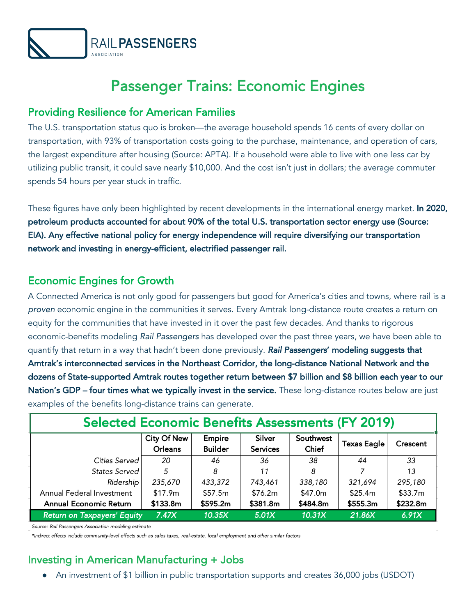

# Passenger Trains: Economic Engines

#### Providing Resilience for American Families

The U.S. transportation status quo is broken—the average household spends 16 cents of every dollar on transportation, with 93% of transportation costs going to the purchase, maintenance, and operation of cars, the largest expenditure after housing (Source: APTA). If a household were able to live with one less car by utilizing public transit, it could save nearly \$10,000. And the cost isn't just in dollars; the average commuter spends 54 hours per year stuck in traffic.

These figures have only been highlighted by recent developments in the international energy market. In 2020, petroleum products accounted for about 90% of the total U.S. transportation sector energy use (Source: EIA). Any effective national policy for energy independence will require diversifying our transportation network and investing in energy-efficient, electrified passenger rail.

## Economic Engines for Growth

A Connected America is not only good for passengers but good for America's cities and towns, where rail is a *proven* economic engine in the communities it serves. Every Amtrak long-distance route creates a return on equity for the communities that have invested in it over the past few decades. And thanks to rigorous economic-benefits modeling *Rail Passengers* has developed over the past three years, we have been able to quantify that return in a way that hadn't been done previously. *Rail Passengers*' modeling suggests that Amtrak's interconnected services in the Northeast Corridor, the long-distance National Network and the dozens of State-supported Amtrak routes together return between \$7 billion and \$8 billion each year to our Nation's GDP – four times what we typically invest in the service. These long-distance routes below are just examples of the benefits long-distance trains can generate.

| <b>Selected Economic Benefits Assessments (FY 2019)</b> |                               |                          |                           |                    |                    |          |
|---------------------------------------------------------|-------------------------------|--------------------------|---------------------------|--------------------|--------------------|----------|
|                                                         | <b>City Of New</b><br>Orleans | Empire<br><b>Builder</b> | Silver<br><b>Services</b> | Southwest<br>Chief | <b>Texas Eagle</b> | Crescent |
| Cities Served                                           | 20                            | 46                       | 36                        | 38                 | 44                 | 33       |
| States Served                                           | 5                             | 8                        | 11                        | 8                  |                    | 13       |
| Ridership                                               | 235,670                       | 433,372                  | 743,461                   | 338,180            | 321,694            | 295,180  |
| Annual Federal Investment                               | \$17.9m                       | \$57.5m                  | \$76.2m                   | \$47.0m            | \$25.4m            | \$33.7m  |
| <b>Annual Economic Return</b>                           | \$133.8m                      | \$595.2m                 | \$381.8m                  | \$484.8m           | \$555.3m           | \$232.8m |
| <b>Return on Taxpayers' Equity</b>                      | 7.47X                         | 10.35X                   | 5.01X                     | 10.31X             | 21.86X             | 6.91X    |

Source: Rail Passengers Association modeling estimate

\*Indirect effects include community-level effects such as sales taxes, real-estate, local employment and other similar factors

## Investing in American Manufacturing + Jobs

An investment of \$1 billion in public transportation supports and creates 36,000 jobs (USDOT)